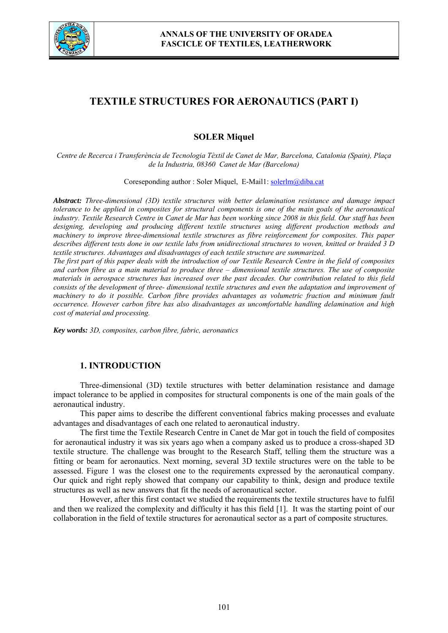

# **TEXTILE STRUCTURES FOR AERONAUTICS (PART I)**

# **SOLER Miquel**

*Centre de Recerca i Transferència de Tecnologia Tèxtil de Canet de Mar, Barcelona, Catalonia (Spain), Plaça de la Industria, 08360 Canet de Mar (Barcelona)* 

Coreseponding author : Soler Miquel, E-Mail1: solerlm@diba.cat

*Abstract: Three-dimensional (3D) textile structures with better delamination resistance and damage impact tolerance to be applied in composites for structural components is one of the main goals of the aeronautical industry. Textile Research Centre in Canet de Mar has been working since 2008 in this field. Our staff has been designing, developing and producing different textile structures using different production methods and machinery to improve three-dimensional textile structures as fibre reinforcement for composites. This paper describes different tests done in our textile labs from unidirectional structures to woven, knitted or braided 3 D textile structures. Advantages and disadvantages of each textile structure are summarized.* 

*The first part of this paper deals with the introduction of our Textile Research Centre in the field of composites and carbon fibre as a main material to produce three – dimensional textile structures. The use of composite materials in aerospace structures has increased over the past decades. Our contribution related to this field consists of the development of three- dimensional textile structures and even the adaptation and improvement of machinery to do it possible. Carbon fibre provides advantages as volumetric fraction and minimum fault occurrence. However carbon fibre has also disadvantages as uncomfortable handling delamination and high cost of material and processing.* 

*Key words: 3D, composites, carbon fibre, fabric, aeronautics* 

## **1. INTRODUCTION**

Three-dimensional (3D) textile structures with better delamination resistance and damage impact tolerance to be applied in composites for structural components is one of the main goals of the aeronautical industry.

This paper aims to describe the different conventional fabrics making processes and evaluate advantages and disadvantages of each one related to aeronautical industry.

The first time the Textile Research Centre in Canet de Mar got in touch the field of composites for aeronautical industry it was six years ago when a company asked us to produce a cross-shaped 3D textile structure. The challenge was brought to the Research Staff, telling them the structure was a fitting or beam for aeronautics. Next morning, several 3D textile structures were on the table to be assessed. Figure 1 was the closest one to the requirements expressed by the aeronautical company. Our quick and right reply showed that company our capability to think, design and produce textile structures as well as new answers that fit the needs of aeronautical sector.

However, after this first contact we studied the requirements the textile structures have to fulfil and then we realized the complexity and difficulty it has this field [1]. It was the starting point of our collaboration in the field of textile structures for aeronautical sector as a part of composite structures.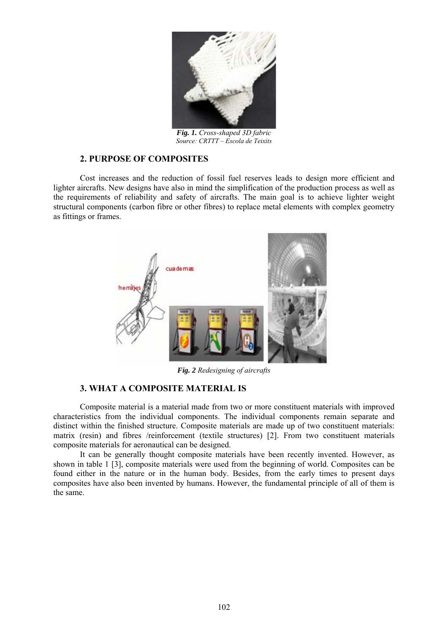

*Fig. 1. Cross-shaped 3D fabric Source: CRTTT – Escola de Teixits*

#### **2. PURPOSE OF COMPOSITES**

Cost increases and the reduction of fossil fuel reserves leads to design more efficient and lighter aircrafts. New designs have also in mind the simplification of the production process as well as the requirements of reliability and safety of aircrafts. The main goal is to achieve lighter weight structural components (carbon fibre or other fibres) to replace metal elements with complex geometry as fittings or frames.



*Fig. 2 Redesigning of aircrafts*

### **3. WHAT A COMPOSITE MATERIAL IS**

Composite material is a material made from two or more constituent materials with improved characteristics from the individual components. The individual components remain separate and distinct within the finished structure. Composite materials are made up of two constituent materials: matrix (resin) and fibres /reinforcement (textile structures) [2]. From two constituent materials composite materials for aeronautical can be designed.

It can be generally thought composite materials have been recently invented. However, as shown in table 1 [3], composite materials were used from the beginning of world. Composites can be found either in the nature or in the human body. Besides, from the early times to present days composites have also been invented by humans. However, the fundamental principle of all of them is the same.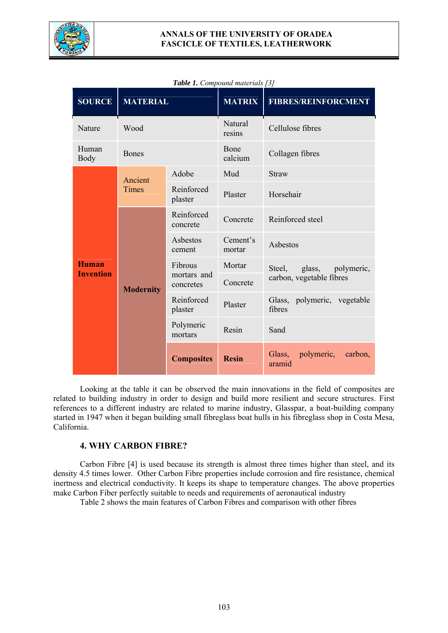

#### **ANNALS OF THE UNIVERSITY OF ORADEA FASCICLE OF TEXTILES, LEATHERWORK**

| <b>SOURCE</b>                    | <b>MATERIAL</b>         |                                     | <b>MATRIX</b>      | <b>FIBRES/REINFORCMENT</b>                |  |  |
|----------------------------------|-------------------------|-------------------------------------|--------------------|-------------------------------------------|--|--|
| Nature                           | Wood                    |                                     | Natural<br>resins  | Cellulose fibres                          |  |  |
| Human<br><b>Body</b>             | <b>Bones</b>            |                                     | Bone<br>calcium    | Collagen fibres                           |  |  |
| <b>Human</b><br><b>Invention</b> | Ancient<br><b>Times</b> | Adobe                               | Mud                | <b>Straw</b>                              |  |  |
|                                  |                         | Reinforced<br>plaster               | Plaster            | Horsehair                                 |  |  |
|                                  | <b>Modernity</b>        | Reinforced<br>concrete              | Concrete           | Reinforced steel                          |  |  |
|                                  |                         | Asbestos<br>cement                  | Cement's<br>mortar | Asbestos                                  |  |  |
|                                  |                         | Fibrous<br>mortars and<br>concretes | Mortar             | glass,<br>polymeric,<br>Steel,            |  |  |
|                                  |                         |                                     | Concrete           | carbon, vegetable fibres                  |  |  |
|                                  |                         | Reinforced<br>plaster               | Plaster            | Glass, polymeric, vegetable<br>fibres     |  |  |
|                                  |                         | Polymeric<br>mortars                | Resin              | Sand                                      |  |  |
|                                  |                         | <b>Composites</b>                   | <b>Resin</b>       | polymeric,<br>Glass,<br>carbon,<br>aramid |  |  |

#### *Table 1. Compound materials [3]*

Looking at the table it can be observed the main innovations in the field of composites are related to building industry in order to design and build more resilient and secure structures. First references to a different industry are related to marine industry, Glasspar, a boat-building company started in 1947 when it began building small fibreglass boat hulls in his fibreglass shop in Costa Mesa, California.

### **4. WHY CARBON FIBRE?**

Carbon Fibre [4] is used because its strength is almost three times higher than steel, and its density 4.5 times lower. Other Carbon Fibre properties include corrosion and fire resistance, chemical inertness and electrical conductivity. It keeps its shape to temperature changes. The above properties make Carbon Fiber perfectly suitable to needs and requirements of aeronautical industry

Table 2 shows the main features of Carbon Fibres and comparison with other fibres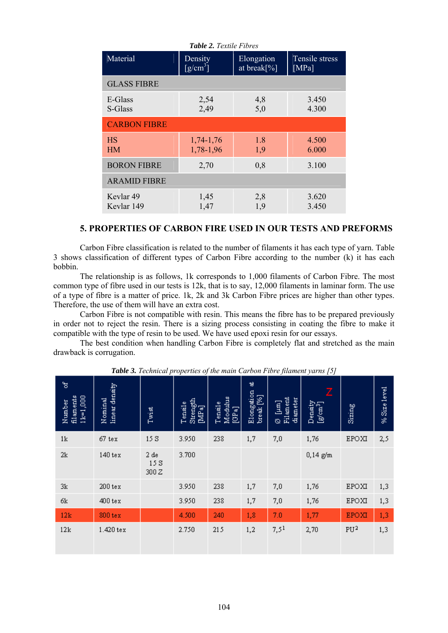| <b>Table 2.</b> Textile Fibres |                                         |                           |                             |  |  |  |  |  |  |
|--------------------------------|-----------------------------------------|---------------------------|-----------------------------|--|--|--|--|--|--|
| Material                       | Density<br>$\left[\text{g/cm}^3\right]$ | Elongation<br>at break[%] | Tensile stress<br>[ $MPa$ ] |  |  |  |  |  |  |
| <b>GLASS FIBRE</b>             |                                         |                           |                             |  |  |  |  |  |  |
| E-Glass<br>S-Glass             | 2,54<br>2,49                            | 4,8<br>5,0                | 3.450<br>4.300              |  |  |  |  |  |  |
| <b>CARBON FIBRE</b>            |                                         |                           |                             |  |  |  |  |  |  |
| <b>HS</b><br><b>HM</b>         | 1,74-1,76<br>1,78-1,96                  | 1.8<br>1,9                | 4.500<br>6.000              |  |  |  |  |  |  |
| <b>BORON FIBRE</b>             | 2,70                                    | 0,8                       | 3.100                       |  |  |  |  |  |  |
| <b>ARAMID FIBRE</b>            |                                         |                           |                             |  |  |  |  |  |  |
| Kevlar 49<br>Kevlar 149        | 1,45<br>1,47                            | 2,8<br>1,9                | 3.620<br>3.450              |  |  |  |  |  |  |

#### **5. PROPERTIES OF CARBON FIRE USED IN OUR TESTS AND PREFORMS**

Carbon Fibre classification is related to the number of filaments it has each type of yarn. Table 3 shows classification of different types of Carbon Fibre according to the number (k) it has each bobbin.

The relationship is as follows, 1k corresponds to 1,000 filaments of Carbon Fibre. The most common type of fibre used in our tests is 12k, that is to say, 12,000 filaments in laminar form. The use of a type of fibre is a matter of price. 1k, 2k and 3k Carbon Fibre prices are higher than other types. Therefore, the use of them will have an extra cost.

Carbon Fibre is not compatible with resin. This means the fibre has to be prepared previously in order not to reject the resin. There is a sizing process consisting in coating the fibre to make it compatible with the type of resin to be used. We have used epoxi resin for our essays.

The best condition when handling Carbon Fibre is completely flat and stretched as the main drawback is corrugation.

| ष्ठ<br>filaments<br>$11x = 1,000$<br>Number | linear density<br>Nominal | Twist              | Strength<br>Tensile<br>$[MTa]$ | Modulus<br>Tensile<br>$\left[\begin{smallmatrix} G & B \\ C & D \end{smallmatrix}\right]$ | 发<br>Elongation<br>break [%] | Filament<br>diameter<br>$\begin{bmatrix} 1 \\ 2 \end{bmatrix}$<br>Ø | z<br>$D$ ensity<br>[ $g$ /cm <sup>3</sup> ] | Sizing          | % Size level |
|---------------------------------------------|---------------------------|--------------------|--------------------------------|-------------------------------------------------------------------------------------------|------------------------------|---------------------------------------------------------------------|---------------------------------------------|-----------------|--------------|
| 1k                                          | 67 tex                    | 15S                | 3.950                          | 238                                                                                       | 1,7                          | 7,0                                                                 | 1,76                                        | EPOXI           | 2,5          |
| 2k                                          | 140 tex                   | 2de<br>15S<br>300Z | 3.700                          |                                                                                           |                              |                                                                     | $0,14 \text{ g/m}$                          |                 |              |
| 3k                                          | $200$ tex                 |                    | 3.950                          | 238                                                                                       | 1,7                          | 7,0                                                                 | 1,76                                        | EPOXI           | 1,3          |
| бk                                          | $400 \text{ tex}$         |                    | 3.950                          | 238                                                                                       | 1,7                          | 7,0                                                                 | 1,76                                        | EPOXI           | 1,3          |
| 12k                                         | $800$ tex                 |                    | 4.500                          | 240                                                                                       | 1,8                          | 7.0                                                                 | 1,77                                        | <b>EPOXI</b>    | 1,3          |
| 12k                                         | 1.420 tex                 |                    | 2.750                          | 215                                                                                       | 1,2                          | 7,51                                                                | 2,70                                        | PU <sup>2</sup> | 1,3          |

*Table 3. Technical properties of the main Carbon Fibre filament yarns [5]*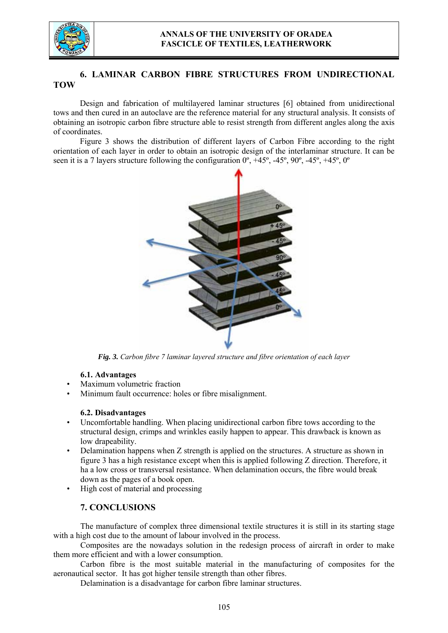

# **6. LAMINAR CARBON FIBRE STRUCTURES FROM UNDIRECTIONAL TOW**

Design and fabrication of multilayered laminar structures [6] obtained from unidirectional tows and then cured in an autoclave are the reference material for any structural analysis. It consists of obtaining an isotropic carbon fibre structure able to resist strength from different angles along the axis of coordinates.

Figure 3 shows the distribution of different layers of Carbon Fibre according to the right orientation of each layer in order to obtain an isotropic design of the interlaminar structure. It can be seen it is a 7 layers structure following the configuration  $0^\circ$ ,  $+45^\circ$ ,  $-45^\circ$ ,  $90^\circ$ ,  $-45^\circ$ ,  $+45^\circ$ ,  $0^\circ$ 



*Fig. 3. Carbon fibre 7 laminar layered structure and fibre orientation of each layer* 

#### **6.1. Advantages**

- Maximum volumetric fraction
- Minimum fault occurrence: holes or fibre misalignment.

#### **6.2. Disadvantages**

- Uncomfortable handling. When placing unidirectional carbon fibre tows according to the structural design, crimps and wrinkles easily happen to appear. This drawback is known as low drapeability.
- Delamination happens when Z strength is applied on the structures. A structure as shown in figure 3 has a high resistance except when this is applied following Z direction. Therefore, it ha a low cross or transversal resistance. When delamination occurs, the fibre would break down as the pages of a book open.
- High cost of material and processing

### **7. CONCLUSIONS**

The manufacture of complex three dimensional textile structures it is still in its starting stage with a high cost due to the amount of labour involved in the process.

Composites are the nowadays solution in the redesign process of aircraft in order to make them more efficient and with a lower consumption.

Carbon fibre is the most suitable material in the manufacturing of composites for the aeronautical sector. It has got higher tensile strength than other fibres.

Delamination is a disadvantage for carbon fibre laminar structures.